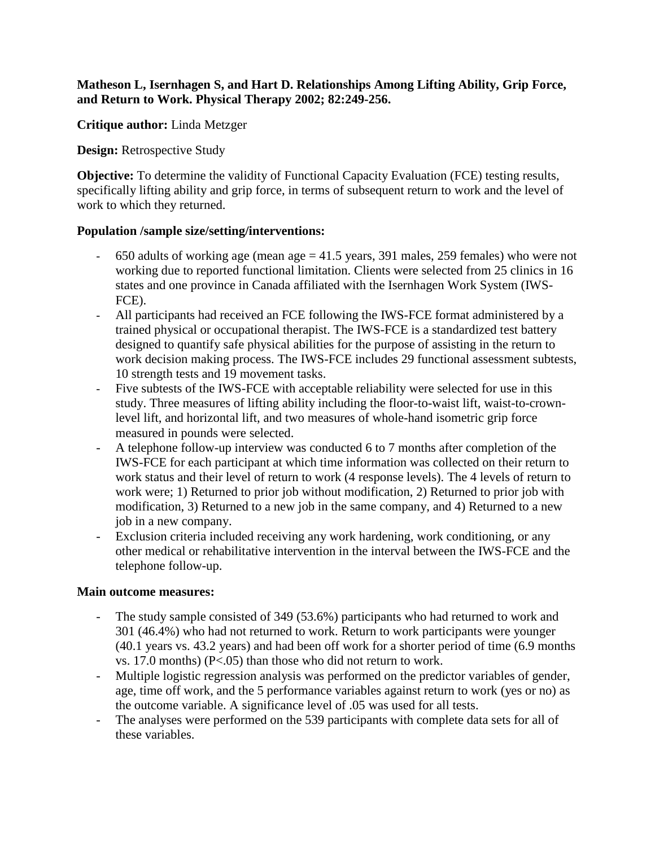## **Matheson L, Isernhagen S, and Hart D. Relationships Among Lifting Ability, Grip Force, and Return to Work. Physical Therapy 2002; 82:249-256.**

**Critique author:** Linda Metzger

**Design:** Retrospective Study

**Objective:** To determine the validity of Functional Capacity Evaluation (FCE) testing results, specifically lifting ability and grip force, in terms of subsequent return to work and the level of work to which they returned.

## **Population /sample size/setting/interventions:**

- 650 adults of working age (mean age = 41.5 years, 391 males, 259 females) who were not working due to reported functional limitation. Clients were selected from 25 clinics in 16 states and one province in Canada affiliated with the Isernhagen Work System (IWS-FCE).
- All participants had received an FCE following the IWS-FCE format administered by a trained physical or occupational therapist. The IWS-FCE is a standardized test battery designed to quantify safe physical abilities for the purpose of assisting in the return to work decision making process. The IWS-FCE includes 29 functional assessment subtests, 10 strength tests and 19 movement tasks.
- Five subtests of the IWS-FCE with acceptable reliability were selected for use in this study. Three measures of lifting ability including the floor-to-waist lift, waist-to-crownlevel lift, and horizontal lift, and two measures of whole-hand isometric grip force measured in pounds were selected.
- A telephone follow-up interview was conducted 6 to 7 months after completion of the IWS-FCE for each participant at which time information was collected on their return to work status and their level of return to work (4 response levels). The 4 levels of return to work were; 1) Returned to prior job without modification, 2) Returned to prior job with modification, 3) Returned to a new job in the same company, and 4) Returned to a new job in a new company.
- Exclusion criteria included receiving any work hardening, work conditioning, or any other medical or rehabilitative intervention in the interval between the IWS-FCE and the telephone follow-up.

## **Main outcome measures:**

- The study sample consisted of 349 (53.6%) participants who had returned to work and 301 (46.4%) who had not returned to work. Return to work participants were younger (40.1 years vs. 43.2 years) and had been off work for a shorter period of time (6.9 months vs. 17.0 months) (P<.05) than those who did not return to work.
- Multiple logistic regression analysis was performed on the predictor variables of gender, age, time off work, and the 5 performance variables against return to work (yes or no) as the outcome variable. A significance level of .05 was used for all tests.
- The analyses were performed on the 539 participants with complete data sets for all of these variables.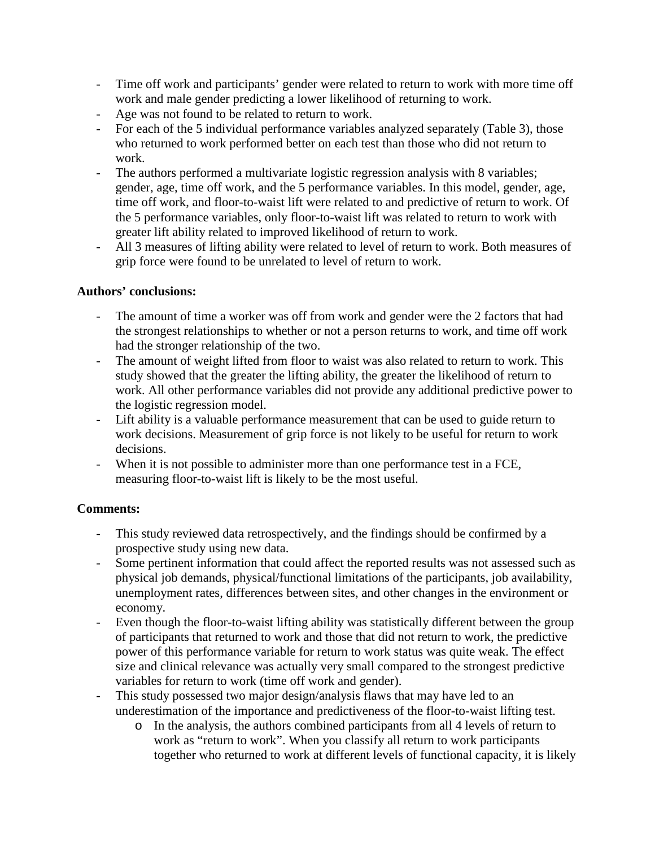- Time off work and participants' gender were related to return to work with more time off work and male gender predicting a lower likelihood of returning to work.
- Age was not found to be related to return to work.
- For each of the 5 individual performance variables analyzed separately (Table 3), those who returned to work performed better on each test than those who did not return to work.
- The authors performed a multivariate logistic regression analysis with 8 variables; gender, age, time off work, and the 5 performance variables. In this model, gender, age, time off work, and floor-to-waist lift were related to and predictive of return to work. Of the 5 performance variables, only floor-to-waist lift was related to return to work with greater lift ability related to improved likelihood of return to work.
- All 3 measures of lifting ability were related to level of return to work. Both measures of grip force were found to be unrelated to level of return to work.

# **Authors' conclusions:**

- The amount of time a worker was off from work and gender were the 2 factors that had the strongest relationships to whether or not a person returns to work, and time off work had the stronger relationship of the two.
- The amount of weight lifted from floor to waist was also related to return to work. This study showed that the greater the lifting ability, the greater the likelihood of return to work. All other performance variables did not provide any additional predictive power to the logistic regression model.
- Lift ability is a valuable performance measurement that can be used to guide return to work decisions. Measurement of grip force is not likely to be useful for return to work decisions.
- When it is not possible to administer more than one performance test in a FCE, measuring floor-to-waist lift is likely to be the most useful.

# **Comments:**

- This study reviewed data retrospectively, and the findings should be confirmed by a prospective study using new data.
- Some pertinent information that could affect the reported results was not assessed such as physical job demands, physical/functional limitations of the participants, job availability, unemployment rates, differences between sites, and other changes in the environment or economy.
- Even though the floor-to-waist lifting ability was statistically different between the group of participants that returned to work and those that did not return to work, the predictive power of this performance variable for return to work status was quite weak. The effect size and clinical relevance was actually very small compared to the strongest predictive variables for return to work (time off work and gender).
- This study possessed two major design/analysis flaws that may have led to an underestimation of the importance and predictiveness of the floor-to-waist lifting test.
	- o In the analysis, the authors combined participants from all 4 levels of return to work as "return to work". When you classify all return to work participants together who returned to work at different levels of functional capacity, it is likely